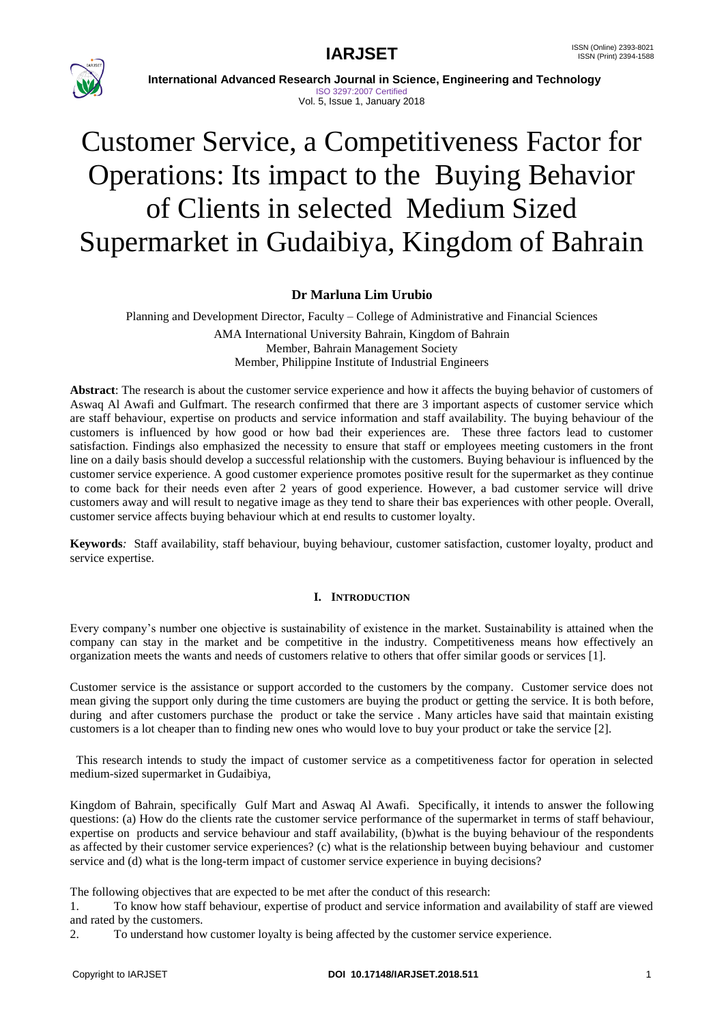

 **International Advanced Research Journal in Science, Engineering and Technology** ISO 3297:2007 Certified

# Vol. 5, Issue 1, January 2018

# Customer Service, a Competitiveness Factor for Operations: Its impact to the Buying Behavior of Clients in selected Medium Sized Supermarket in Gudaibiya, Kingdom of Bahrain

# **Dr Marluna Lim Urubio**

Planning and Development Director, Faculty – College of Administrative and Financial Sciences AMA International University Bahrain, Kingdom of Bahrain Member, Bahrain Management Society Member, Philippine Institute of Industrial Engineers

**Abstract**: The research is about the customer service experience and how it affects the buying behavior of customers of Aswaq Al Awafi and Gulfmart. The research confirmed that there are 3 important aspects of customer service which are staff behaviour, expertise on products and service information and staff availability. The buying behaviour of the customers is influenced by how good or how bad their experiences are. These three factors lead to customer satisfaction. Findings also emphasized the necessity to ensure that staff or employees meeting customers in the front line on a daily basis should develop a successful relationship with the customers. Buying behaviour is influenced by the customer service experience. A good customer experience promotes positive result for the supermarket as they continue to come back for their needs even after 2 years of good experience. However, a bad customer service will drive customers away and will result to negative image as they tend to share their bas experiences with other people. Overall, customer service affects buying behaviour which at end results to customer loyalty.

**Keywords***:* Staff availability, staff behaviour, buying behaviour, customer satisfaction, customer loyalty, product and service expertise.

# **I. INTRODUCTION**

Every company's number one objective is sustainability of existence in the market. Sustainability is attained when the company can stay in the market and be competitive in the industry. Competitiveness means how effectively an organization meets the wants and needs of customers relative to others that offer similar goods or services [1].

Customer service is the assistance or support accorded to the customers by the company. Customer service does not mean giving the support only during the time customers are buying the product or getting the service. It is both before, during and after customers purchase the product or take the service . Many articles have said that maintain existing customers is a lot cheaper than to finding new ones who would love to buy your product or take the service [2].

 This research intends to study the impact of customer service as a competitiveness factor for operation in selected medium-sized supermarket in Gudaibiya,

Kingdom of Bahrain, specifically Gulf Mart and Aswaq Al Awafi. Specifically, it intends to answer the following questions: (a) How do the clients rate the customer service performance of the supermarket in terms of staff behaviour, expertise on products and service behaviour and staff availability, (b)what is the buying behaviour of the respondents as affected by their customer service experiences? (c) what is the relationship between buying behaviour and customer service and (d) what is the long-term impact of customer service experience in buying decisions?

The following objectives that are expected to be met after the conduct of this research:

1. To know how staff behaviour, expertise of product and service information and availability of staff are viewed and rated by the customers.

2. To understand how customer loyalty is being affected by the customer service experience.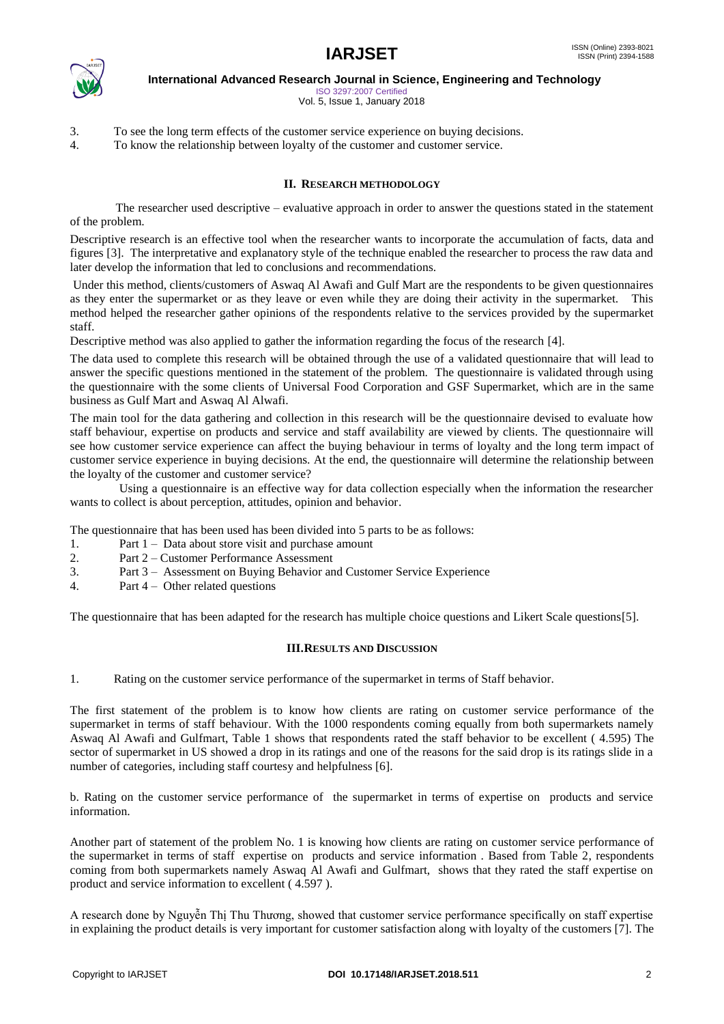

ISO 3297:2007 Certified Vol. 5, Issue 1, January 2018

3. To see the long term effects of the customer service experience on buying decisions.

4. To know the relationship between loyalty of the customer and customer service.

# **II. RESEARCH METHODOLOGY**

 The researcher used descriptive – evaluative approach in order to answer the questions stated in the statement of the problem.

Descriptive research is an effective tool when the researcher wants to incorporate the accumulation of facts, data and figures [3]. The interpretative and explanatory style of the technique enabled the researcher to process the raw data and later develop the information that led to conclusions and recommendations.

Under this method, clients/customers of Aswaq Al Awafi and Gulf Mart are the respondents to be given questionnaires as they enter the supermarket or as they leave or even while they are doing their activity in the supermarket. This method helped the researcher gather opinions of the respondents relative to the services provided by the supermarket staff.

Descriptive method was also applied to gather the information regarding the focus of the research [4].

The data used to complete this research will be obtained through the use of a validated questionnaire that will lead to answer the specific questions mentioned in the statement of the problem. The questionnaire is validated through using the questionnaire with the some clients of Universal Food Corporation and GSF Supermarket, which are in the same business as Gulf Mart and Aswaq Al Alwafi.

The main tool for the data gathering and collection in this research will be the questionnaire devised to evaluate how staff behaviour, expertise on products and service and staff availability are viewed by clients. The questionnaire will see how customer service experience can affect the buying behaviour in terms of loyalty and the long term impact of customer service experience in buying decisions. At the end, the questionnaire will determine the relationship between the loyalty of the customer and customer service?

Using a questionnaire is an effective way for data collection especially when the information the researcher wants to collect is about perception, attitudes, opinion and behavior.

The questionnaire that has been used has been divided into 5 parts to be as follows:

- 1. Part 1 Data about store visit and purchase amount
- 2. Part 2 Customer Performance Assessment
- 3. Part 3 Assessment on Buying Behavior and Customer Service Experience
- 4. Part 4 Other related questions

The questionnaire that has been adapted for the research has multiple choice questions and Likert Scale questions[5].

#### **III.RESULTS AND DISCUSSION**

1. Rating on the customer service performance of the supermarket in terms of Staff behavior.

The first statement of the problem is to know how clients are rating on customer service performance of the supermarket in terms of staff behaviour. With the 1000 respondents coming equally from both supermarkets namely Aswaq Al Awafi and Gulfmart, Table 1 shows that respondents rated the staff behavior to be excellent ( 4.595) The sector of supermarket in US showed a drop in its ratings and one of the reasons for the said drop is its ratings slide in a number of categories, including staff courtesy and helpfulness [6].

b. Rating on the customer service performance of the supermarket in terms of expertise on products and service information.

Another part of statement of the problem No. 1 is knowing how clients are rating on customer service performance of the supermarket in terms of staff expertise on products and service information . Based from Table 2, respondents coming from both supermarkets namely Aswaq Al Awafi and Gulfmart, shows that they rated the staff expertise on product and service information to excellent ( 4.597 ).

A research done by Nguyễn Thị Thu Thương, showed that customer service performance specifically on staff expertise in explaining the product details is very important for customer satisfaction along with loyalty of the customers [7]. The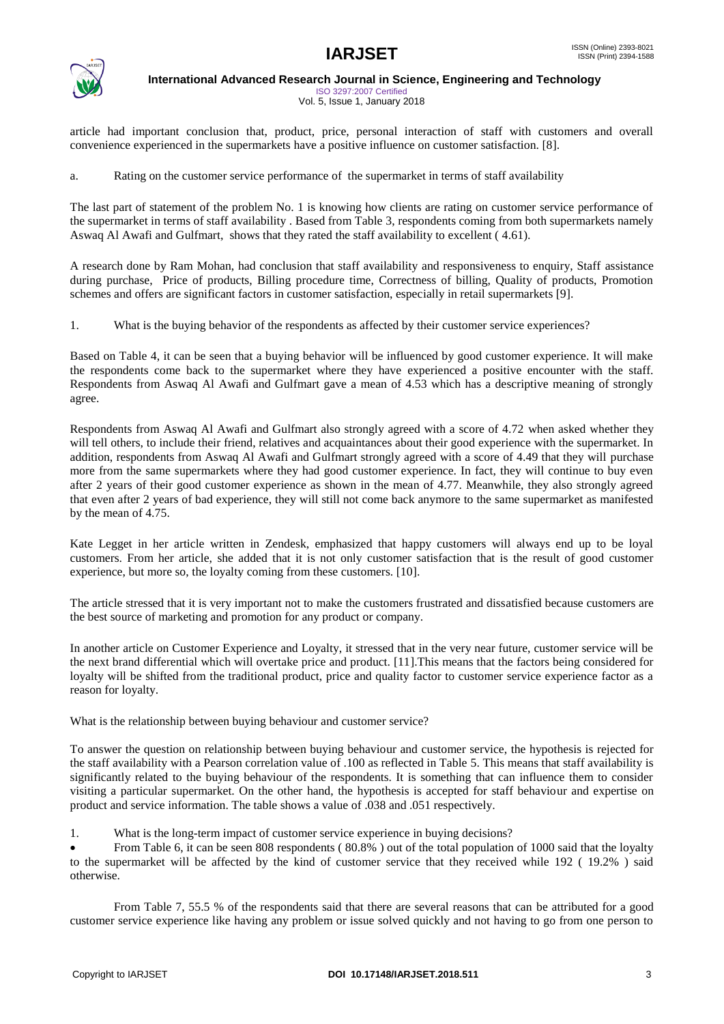

ISO 3297:2007 Certified Vol. 5, Issue 1, January 2018

article had important conclusion that, product, price, personal interaction of staff with customers and overall convenience experienced in the supermarkets have a positive influence on customer satisfaction. [8].

a. Rating on the customer service performance of the supermarket in terms of staff availability

The last part of statement of the problem No. 1 is knowing how clients are rating on customer service performance of the supermarket in terms of staff availability . Based from Table 3, respondents coming from both supermarkets namely Aswaq Al Awafi and Gulfmart, shows that they rated the staff availability to excellent ( 4.61).

A research done by Ram Mohan, had conclusion that staff availability and responsiveness to enquiry, Staff assistance during purchase, Price of products, Billing procedure time, Correctness of billing, Quality of products, Promotion schemes and offers are significant factors in customer satisfaction, especially in retail supermarkets [9].

1. What is the buying behavior of the respondents as affected by their customer service experiences?

Based on Table 4, it can be seen that a buying behavior will be influenced by good customer experience. It will make the respondents come back to the supermarket where they have experienced a positive encounter with the staff. Respondents from Aswaq Al Awafi and Gulfmart gave a mean of 4.53 which has a descriptive meaning of strongly agree.

Respondents from Aswaq Al Awafi and Gulfmart also strongly agreed with a score of 4.72 when asked whether they will tell others, to include their friend, relatives and acquaintances about their good experience with the supermarket. In addition, respondents from Aswaq Al Awafi and Gulfmart strongly agreed with a score of 4.49 that they will purchase more from the same supermarkets where they had good customer experience. In fact, they will continue to buy even after 2 years of their good customer experience as shown in the mean of 4.77. Meanwhile, they also strongly agreed that even after 2 years of bad experience, they will still not come back anymore to the same supermarket as manifested by the mean of 4.75.

Kate Legget in her article written in Zendesk, emphasized that happy customers will always end up to be loyal customers. From her article, she added that it is not only customer satisfaction that is the result of good customer experience, but more so, the loyalty coming from these customers. [10].

The article stressed that it is very important not to make the customers frustrated and dissatisfied because customers are the best source of marketing and promotion for any product or company.

In another article on Customer Experience and Loyalty, it stressed that in the very near future, customer service will be the next brand differential which will overtake price and product. [11].This means that the factors being considered for loyalty will be shifted from the traditional product, price and quality factor to customer service experience factor as a reason for loyalty.

What is the relationship between buying behaviour and customer service?

To answer the question on relationship between buying behaviour and customer service, the hypothesis is rejected for the staff availability with a Pearson correlation value of .100 as reflected in Table 5. This means that staff availability is significantly related to the buying behaviour of the respondents. It is something that can influence them to consider visiting a particular supermarket. On the other hand, the hypothesis is accepted for staff behaviour and expertise on product and service information. The table shows a value of .038 and .051 respectively.

1. What is the long-term impact of customer service experience in buying decisions?

 From Table 6, it can be seen 808 respondents ( 80.8% ) out of the total population of 1000 said that the loyalty to the supermarket will be affected by the kind of customer service that they received while 192 ( 19.2% ) said otherwise.

From Table 7, 55.5 % of the respondents said that there are several reasons that can be attributed for a good customer service experience like having any problem or issue solved quickly and not having to go from one person to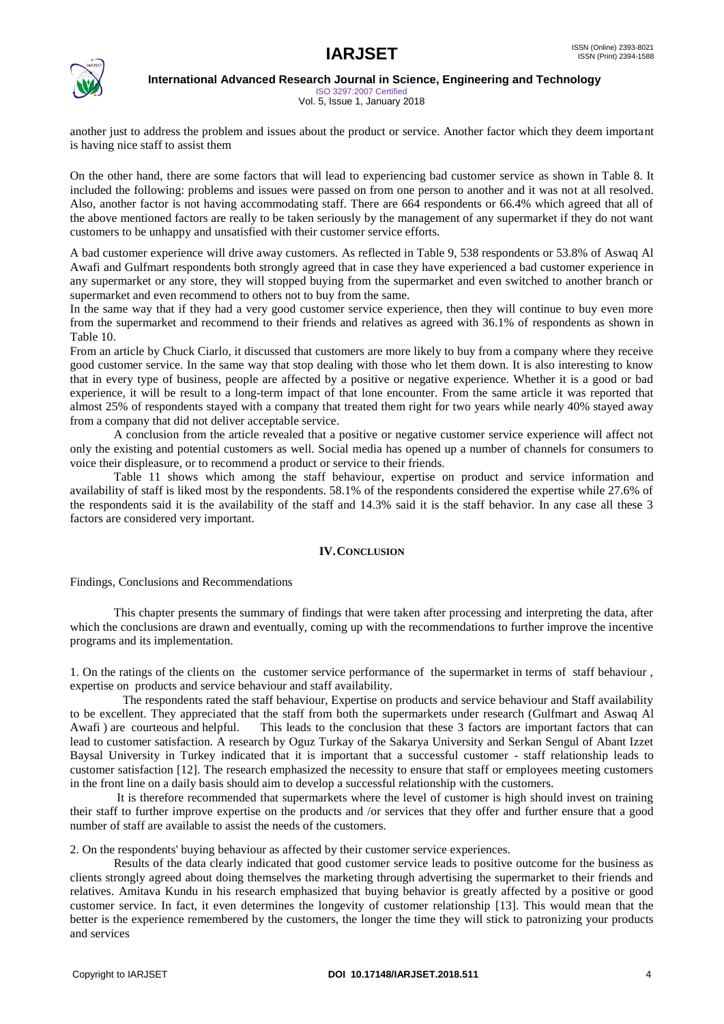

ISO 3297:2007 Certified Vol. 5, Issue 1, January 2018

another just to address the problem and issues about the product or service. Another factor which they deem important is having nice staff to assist them

On the other hand, there are some factors that will lead to experiencing bad customer service as shown in Table 8. It included the following: problems and issues were passed on from one person to another and it was not at all resolved. Also, another factor is not having accommodating staff. There are 664 respondents or 66.4% which agreed that all of the above mentioned factors are really to be taken seriously by the management of any supermarket if they do not want customers to be unhappy and unsatisfied with their customer service efforts.

A bad customer experience will drive away customers. As reflected in Table 9, 538 respondents or 53.8% of Aswaq Al Awafi and Gulfmart respondents both strongly agreed that in case they have experienced a bad customer experience in any supermarket or any store, they will stopped buying from the supermarket and even switched to another branch or supermarket and even recommend to others not to buy from the same.

In the same way that if they had a very good customer service experience, then they will continue to buy even more from the supermarket and recommend to their friends and relatives as agreed with 36.1% of respondents as shown in Table 10.

From an article by Chuck Ciarlo, it discussed that customers are more likely to buy from a company where they receive good customer service. In the same way that stop dealing with those who let them down. It is also interesting to know that in every type of business, people are affected by a positive or negative experience. Whether it is a good or bad experience, it will be result to a long-term impact of that lone encounter. From the same article it was reported that almost 25% of respondents stayed with a company that treated them right for two years while nearly 40% stayed away from a company that did not deliver acceptable service.

A conclusion from the article revealed that a positive or negative customer service experience will affect not only the existing and potential customers as well. Social media has opened up a number of channels for consumers to voice their displeasure, or to recommend a product or service to their friends.

Table 11 shows which among the staff behaviour, expertise on product and service information and availability of staff is liked most by the respondents. 58.1% of the respondents considered the expertise while 27.6% of the respondents said it is the availability of the staff and 14.3% said it is the staff behavior. In any case all these 3 factors are considered very important.

### **IV.CONCLUSION**

Findings, Conclusions and Recommendations

This chapter presents the summary of findings that were taken after processing and interpreting the data, after which the conclusions are drawn and eventually, coming up with the recommendations to further improve the incentive programs and its implementation.

1. On the ratings of the clients on the customer service performance of the supermarket in terms of staff behaviour , expertise on products and service behaviour and staff availability.

 The respondents rated the staff behaviour, Expertise on products and service behaviour and Staff availability to be excellent. They appreciated that the staff from both the supermarkets under research (Gulfmart and Aswaq Al Awafi ) are courteous and helpful. This leads to the conclusion that these 3 factors are important factors that can lead to customer satisfaction. A research by Oguz Turkay of the Sakarya University and Serkan Sengul of Abant Izzet Baysal University in Turkey indicated that it is important that a successful customer - staff relationship leads to customer satisfaction [12]. The research emphasized the necessity to ensure that staff or employees meeting customers in the front line on a daily basis should aim to develop a successful relationship with the customers.

It is therefore recommended that supermarkets where the level of customer is high should invest on training their staff to further improve expertise on the products and /or services that they offer and further ensure that a good number of staff are available to assist the needs of the customers.

2. On the respondents' buying behaviour as affected by their customer service experiences.

Results of the data clearly indicated that good customer service leads to positive outcome for the business as clients strongly agreed about doing themselves the marketing through advertising the supermarket to their friends and relatives. Amitava Kundu in his research emphasized that buying behavior is greatly affected by a positive or good customer service. In fact, it even determines the longevity of customer relationship [13]. This would mean that the better is the experience remembered by the customers, the longer the time they will stick to patronizing your products and services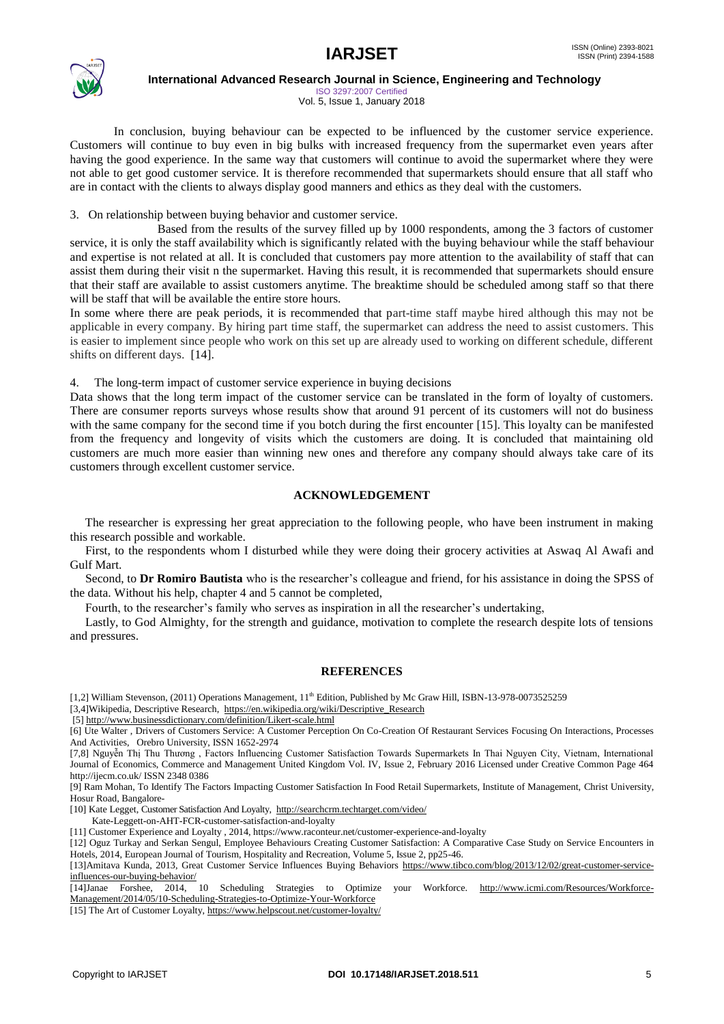

ISO 3297:2007 Certified Vol. 5, Issue 1, January 2018

In conclusion, buying behaviour can be expected to be influenced by the customer service experience. Customers will continue to buy even in big bulks with increased frequency from the supermarket even years after having the good experience. In the same way that customers will continue to avoid the supermarket where they were not able to get good customer service. It is therefore recommended that supermarkets should ensure that all staff who are in contact with the clients to always display good manners and ethics as they deal with the customers.

3. On relationship between buying behavior and customer service.

Based from the results of the survey filled up by 1000 respondents, among the 3 factors of customer service, it is only the staff availability which is significantly related with the buying behaviour while the staff behaviour and expertise is not related at all. It is concluded that customers pay more attention to the availability of staff that can assist them during their visit n the supermarket. Having this result, it is recommended that supermarkets should ensure that their staff are available to assist customers anytime. The breaktime should be scheduled among staff so that there will be staff that will be available the entire store hours.

In some where there are peak periods, it is recommended that part-time staff maybe hired although this may not be applicable in every company. By hiring part time staff, the supermarket can address the need to assist customers. This is easier to implement since people who work on this set up are already used to working on different schedule, different shifts on different days. [14].

4. The long-term impact of customer service experience in buying decisions

Data shows that the long term impact of the customer service can be translated in the form of loyalty of customers. There are consumer reports surveys whose results show that around 91 percent of its customers will not do business with the same company for the second time if you botch during the first encounter [15]. This loyalty can be manifested from the frequency and longevity of visits which the customers are doing. It is concluded that maintaining old customers are much more easier than winning new ones and therefore any company should always take care of its customers through excellent customer service.

#### **ACKNOWLEDGEMENT**

 The researcher is expressing her great appreciation to the following people, who have been instrument in making this research possible and workable.

 First, to the respondents whom I disturbed while they were doing their grocery activities at Aswaq Al Awafi and Gulf Mart.

 Second, to **Dr Romiro Bautista** who is the researcher's colleague and friend, for his assistance in doing the SPSS of the data. Without his help, chapter 4 and 5 cannot be completed,

Fourth, to the researcher's family who serves as inspiration in all the researcher's undertaking,

 Lastly, to God Almighty, for the strength and guidance, motivation to complete the research despite lots of tensions and pressures.

#### **REFERENCES**

[1,2] William Stevenson, (2011) Operations Management, 11<sup>th</sup> Edition, Published by Mc Graw Hill, ISBN-13-978-0073525259

[3,4]Wikipedia, Descriptive Research, [https://en.wikipedia.org/wiki/Descriptive\\_Research](https://en.wikipedia.org/wiki/Descriptive_Research)

[5]<http://www.businessdictionary.com/definition/Likert-scale.html>

[6] Ute Walter , Drivers of Customers Service: A Customer Perception On Co-Creation Of Restaurant Services Focusing On Interactions, Processes And Activities, Orebro University, ISSN 1652-2974

[7,8] Nguyễn Thị Thu Thương , Factors Influencing Customer Satisfaction Towards Supermarkets In Thai Nguyen City, Vietnam, International Journal of Economics, Commerce and Management United Kingdom Vol. IV, Issue 2, February 2016 Licensed under Creative Common Page 464 http://ijecm.co.uk/ ISSN 2348 0386

[9] Ram Mohan, To Identify The Factors Impacting Customer Satisfaction In Food Retail Supermarkets, Institute of Management, Christ University, Hosur Road, Bangalore-

[10] Kate Legget, Customer Satisfaction And Loyalty,<http://searchcrm.techtarget.com/video/>

Kate-Leggett-on-AHT-FCR-customer-satisfaction-and-loyalty

[11] Customer Experience and Loyalty , 2014, https://www.raconteur.net/customer-experience-and-loyalty

[12] Oguz Turkay and Serkan Sengul, Employee Behaviours Creating Customer Satisfaction: A Comparative Case Study on Service Encounters in Hotels, 2014, European Journal of Tourism, Hospitality and Recreation, Volume 5, Issue 2, pp25-46.

[13]Amitava Kunda, 2013, Great Customer Service Influences Buying Behaviors [https://www.tibco.com/blog/2013/12/02/great-customer-service](https://www.tibco.com/blog/2013/12/02/great-customer-service-influences-our-buying-behavior/)[influences-our-buying-behavior/](https://www.tibco.com/blog/2013/12/02/great-customer-service-influences-our-buying-behavior/)

[14]Janae Forshee, 2014, 10 Scheduling Strategies to Optimize your Workforce. [http://www.icmi.com/Resources/Workforce-](http://www.icmi.com/Resources/Workforce-Management/2014/05/10-Scheduling-Strategies-to-Optimize-Your-Workforce)[Management/2014/05/10-Scheduling-Strategies-to-Optimize-Your-Workforce](http://www.icmi.com/Resources/Workforce-Management/2014/05/10-Scheduling-Strategies-to-Optimize-Your-Workforce)

[15] The Art of Customer Loyalty[, https://www.helpscout.net/customer-loyalty/](https://www.helpscout.net/customer-loyalty/)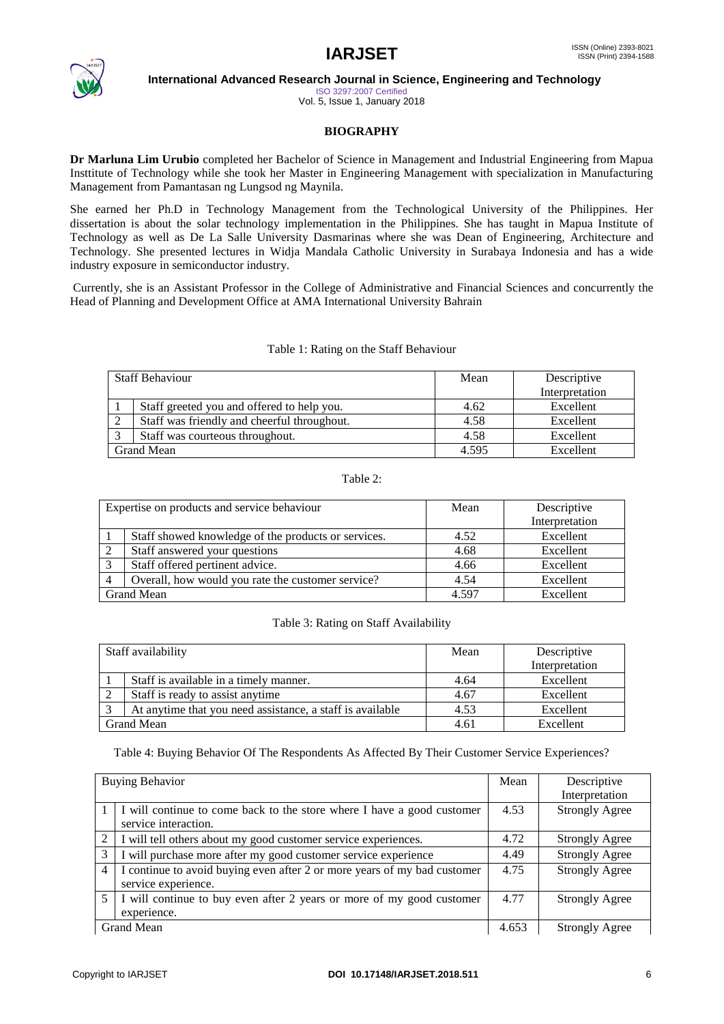

ISO 3297:2007 Certified

Vol. 5, Issue 1, January 2018

# **BIOGRAPHY**

**Dr Marluna Lim Urubio** completed her Bachelor of Science in Management and Industrial Engineering from Mapua Insttitute of Technology while she took her Master in Engineering Management with specialization in Manufacturing Management from Pamantasan ng Lungsod ng Maynila.

She earned her Ph.D in Technology Management from the Technological University of the Philippines. Her dissertation is about the solar technology implementation in the Philippines. She has taught in Mapua Institute of Technology as well as De La Salle University Dasmarinas where she was Dean of Engineering, Architecture and Technology. She presented lectures in Widja Mandala Catholic University in Surabaya Indonesia and has a wide industry exposure in semiconductor industry.

Currently, she is an Assistant Professor in the College of Administrative and Financial Sciences and concurrently the Head of Planning and Development Office at AMA International University Bahrain

### Table 1: Rating on the Staff Behaviour

| <b>Staff Behaviour</b> |                                             | Mean  | Descriptive    |
|------------------------|---------------------------------------------|-------|----------------|
|                        |                                             |       | Interpretation |
|                        | Staff greeted you and offered to help you.  | 4.62  | Excellent      |
|                        | Staff was friendly and cheerful throughout. | 4.58  | Excellent      |
|                        | Staff was courteous throughout.             | 4.58  | Excellent      |
| Grand Mean             |                                             | 4.595 | Excellent      |

### Table 2:

| Expertise on products and service behaviour |                                                     | Mean  | Descriptive    |
|---------------------------------------------|-----------------------------------------------------|-------|----------------|
|                                             |                                                     |       | Interpretation |
|                                             | Staff showed knowledge of the products or services. | 4.52  | Excellent      |
| 2                                           | Staff answered your questions                       | 4.68  | Excellent      |
| 3                                           | Staff offered pertinent advice.                     | 4.66  | Excellent      |
| $\overline{4}$                              | Overall, how would you rate the customer service?   | 4.54  | Excellent      |
| <b>Grand Mean</b>                           |                                                     | 4.597 | Excellent      |

### Table 3: Rating on Staff Availability

| Staff availability |                                                           | Mean | Descriptive    |
|--------------------|-----------------------------------------------------------|------|----------------|
|                    |                                                           |      | Interpretation |
|                    | Staff is available in a timely manner.                    | 4.64 | Excellent      |
|                    | Staff is ready to assist anytime                          | 4.67 | Excellent      |
|                    | At anytime that you need assistance, a staff is available | 4.53 | Excellent      |
| Grand Mean         |                                                           | 4.61 | Excellent      |

Table 4: Buying Behavior Of The Respondents As Affected By Their Customer Service Experiences?

| <b>Buying Behavior</b> |                                                                                                 | Mean  | Descriptive<br>Interpretation |
|------------------------|-------------------------------------------------------------------------------------------------|-------|-------------------------------|
|                        | I will continue to come back to the store where I have a good customer<br>service interaction.  | 4.53  | <b>Strongly Agree</b>         |
| 2                      | I will tell others about my good customer service experiences.                                  | 4.72  | <b>Strongly Agree</b>         |
| 3                      | I will purchase more after my good customer service experience                                  | 4.49  | <b>Strongly Agree</b>         |
| $\overline{4}$         | I continue to avoid buying even after 2 or more years of my bad customer<br>service experience. | 4.75  | <b>Strongly Agree</b>         |
| 5                      | I will continue to buy even after 2 years or more of my good customer<br>experience.            | 4.77  | <b>Strongly Agree</b>         |
|                        | Grand Mean                                                                                      | 4.653 | <b>Strongly Agree</b>         |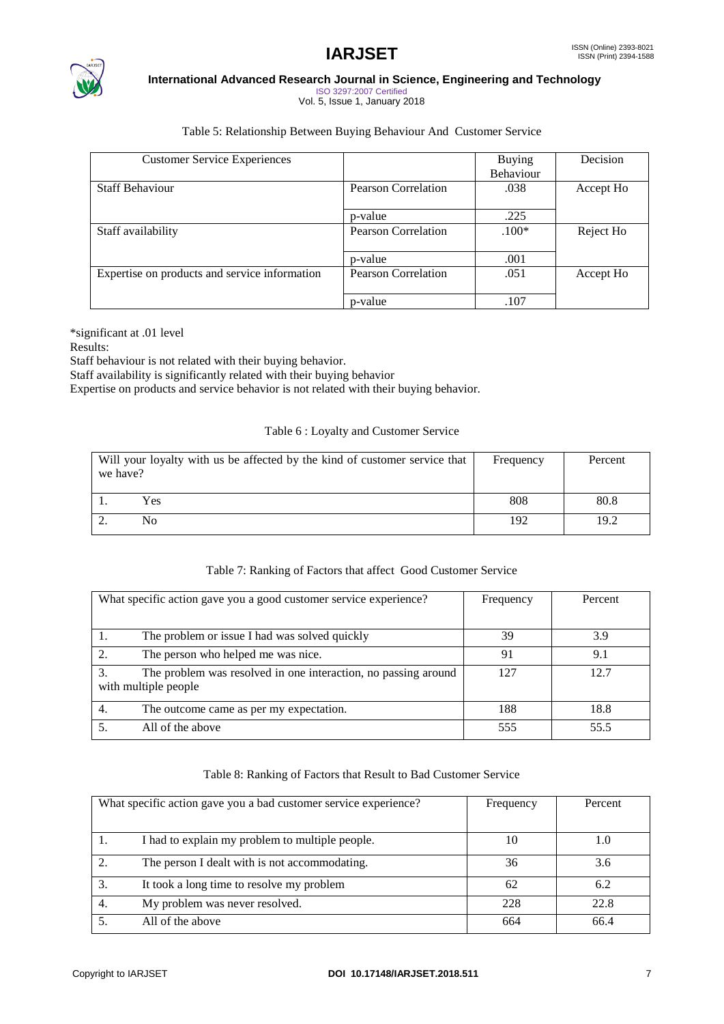

ISO 3297:2007 Certified Vol. 5, Issue 1, January 2018

## Table 5: Relationship Between Buying Behaviour And Customer Service

| <b>Customer Service Experiences</b>           |                            | <b>Buying</b>    | Decision  |
|-----------------------------------------------|----------------------------|------------------|-----------|
|                                               |                            | <b>Behaviour</b> |           |
| <b>Staff Behaviour</b>                        | <b>Pearson Correlation</b> | .038             | Accept Ho |
|                                               | p-value                    | .225             |           |
| Staff availability                            | <b>Pearson Correlation</b> | $.100*$          | Reject Ho |
|                                               | p-value                    | .001             |           |
| Expertise on products and service information | <b>Pearson Correlation</b> | .051             | Accept Ho |
|                                               | p-value                    | .107             |           |

\*significant at .01 level

Results:

Staff behaviour is not related with their buying behavior.

Staff availability is significantly related with their buying behavior

Expertise on products and service behavior is not related with their buying behavior.

# Table 6 : Loyalty and Customer Service

| Will your loyalty with us be affected by the kind of customer service that<br>we have? | Frequency | Percent |
|----------------------------------------------------------------------------------------|-----------|---------|
| Yes                                                                                    | 808       | 80.8    |
| No                                                                                     | 192       | 19.2    |

# Table 7: Ranking of Factors that affect Good Customer Service

| What specific action gave you a good customer service experience? | Frequency | Percent |
|-------------------------------------------------------------------|-----------|---------|
|                                                                   |           |         |
| The problem or issue I had was solved quickly                     | 39        | 3.9     |
| The person who helped me was nice.                                | 91        | 9.1     |
| The problem was resolved in one interaction, no passing around    | 127       | 12.7    |
| with multiple people                                              |           |         |
| The outcome came as per my expectation.                           | 188       | 18.8    |
| All of the above                                                  | 555       | 55.5    |

### Table 8: Ranking of Factors that Result to Bad Customer Service

|    | What specific action gave you a bad customer service experience? | Frequency | Percent |
|----|------------------------------------------------------------------|-----------|---------|
|    |                                                                  |           |         |
|    | I had to explain my problem to multiple people.                  | 10        | 1.0     |
|    | The person I dealt with is not accommodating.                    | 36        | 3.6     |
| 3. | It took a long time to resolve my problem                        | 62        | 6.2     |
| 4. | My problem was never resolved.                                   | 228       | 22.8    |
|    | All of the above                                                 | 664       | 66.4    |